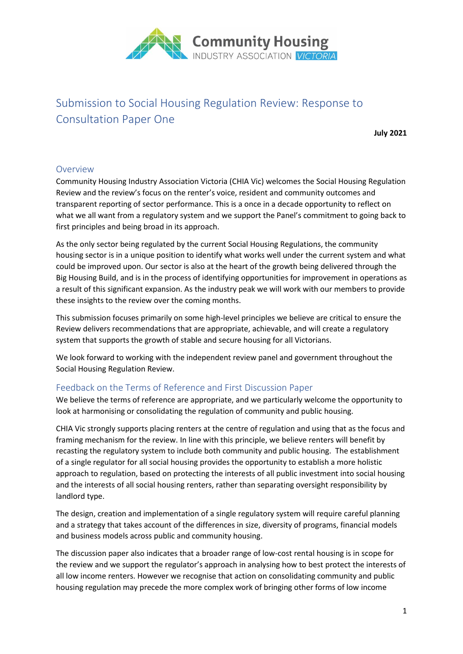

# Submission to Social Housing Regulation Review: Response to Consultation Paper One

**July 2021**

## Overview

Community Housing Industry Association Victoria (CHIA Vic) welcomes the Social Housing Regulation Review and the review's focus on the renter's voice, resident and community outcomes and transparent reporting of sector performance. This is a once in a decade opportunity to reflect on what we all want from a regulatory system and we support the Panel's commitment to going back to first principles and being broad in its approach.

As the only sector being regulated by the current Social Housing Regulations, the community housing sector is in a unique position to identify what works well under the current system and what could be improved upon. Our sector is also at the heart of the growth being delivered through the Big Housing Build, and is in the process of identifying opportunities for improvement in operations as a result of this significant expansion. As the industry peak we will work with our members to provide these insights to the review over the coming months.

This submission focuses primarily on some high-level principles we believe are critical to ensure the Review delivers recommendations that are appropriate, achievable, and will create a regulatory system that supports the growth of stable and secure housing for all Victorians.

We look forward to working with the independent review panel and government throughout the Social Housing Regulation Review.

## Feedback on the Terms of Reference and First Discussion Paper

We believe the terms of reference are appropriate, and we particularly welcome the opportunity to look at harmonising or consolidating the regulation of community and public housing.

CHIA Vic strongly supports placing renters at the centre of regulation and using that as the focus and framing mechanism for the review. In line with this principle, we believe renters will benefit by recasting the regulatory system to include both community and public housing. The establishment of a single regulator for all social housing provides the opportunity to establish a more holistic approach to regulation, based on protecting the interests of all public investment into social housing and the interests of all social housing renters, rather than separating oversight responsibility by landlord type.

The design, creation and implementation of a single regulatory system will require careful planning and a strategy that takes account of the differences in size, diversity of programs, financial models and business models across public and community housing.

The discussion paper also indicates that a broader range of low-cost rental housing is in scope for the review and we support the regulator's approach in analysing how to best protect the interests of all low income renters. However we recognise that action on consolidating community and public housing regulation may precede the more complex work of bringing other forms of low income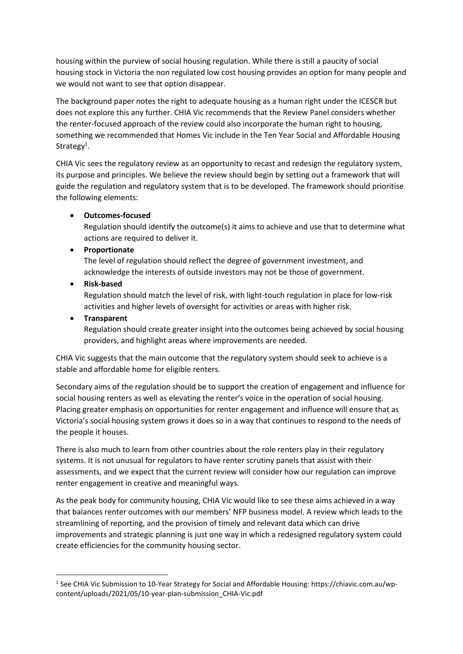housing within the purview of social housing regulation. While there is still a paucity of social housing stock in Victoria the non regulated low cost housing provides an option for many people and we would not want to see that option disappear.

The background paper notes the right to adequate housing as a human right under the ICESCR but does not explore this any further. CHIA Vic recommends that the Review Panel considers whether the renter-focused approach of the review could also incorporate the human right to housing, something we recommended that Homes Vic include in the Ten Year Social and Affordable Housing Strategy<sup>1</sup>.

CHIA Vic sees the regulatory review as an opportunity to recast and redesign the regulatory system, its purpose and principles. We believe the review should begin by setting out a framework that will guide the regulation and regulatory system that is to be developed. The framework should prioritise the following elements:

## • **Outcomes-focused**

Regulation should identify the outcome(s) it aims to achieve and use that to determine what actions are required to deliver it.

## • **Proportionate**

The level of regulation should reflect the degree of government investment, and acknowledge the interests of outside investors may not be those of government.

## • **Risk-based**

Regulation should match the level of risk, with light-touch regulation in place for low-risk activities and higher levels of oversight for activities or areas with higher risk.

## • **Transparent**

Regulation should create greater insight into the outcomes being achieved by social housing providers, and highlight areas where improvements are needed.

CHIA Vic suggests that the main outcome that the regulatory system should seek to achieve is a stable and affordable home for eligible renters.

Secondary aims of the regulation should be to support the creation of engagement and influence for social housing renters as well as elevating the renter's voice in the operation of social housing. Placing greater emphasis on opportunities for renter engagement and influence will ensure that as Victoria's social housing system grows it does so in a way that continues to respond to the needs of the people it houses.

There is also much to learn from other countries about the role renters play in their regulatory systems. It is not unusual for regulators to have renter scrutiny panels that assist with their assessments, and we expect that the current review will consider how our regulation can improve renter engagement in creative and meaningful ways.

As the peak body for community housing, CHIA Vic would like to see these aims achieved in a way that balances renter outcomes with our members' NFP business model. A review which leads to the streamlining of reporting, and the provision of timely and relevant data which can drive improvements and strategic planning is just one way in which a redesigned regulatory system could create efficiencies for the community housing sector.

<sup>&</sup>lt;sup>1</sup> See CHIA Vic Submission to 10-Year Strategy for Social and Affordable Housing: https://chiavic.com.au/wpcontent/uploads/2021/05/10-year-plan-submission\_CHIA-Vic.pdf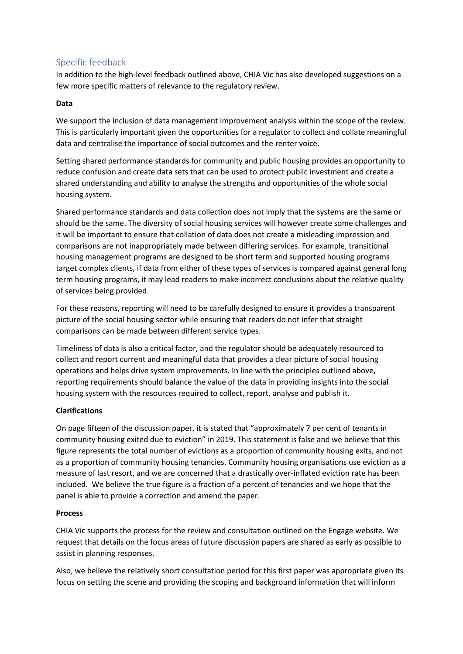# Specific feedback

In addition to the high-level feedback outlined above, CHIA Vic has also developed suggestions on a few more specific matters of relevance to the regulatory review.

#### **Data**

We support the inclusion of data management improvement analysis within the scope of the review. This is particularly important given the opportunities for a regulator to collect and collate meaningful data and centralise the importance of social outcomes and the renter voice.

Setting shared performance standards for community and public housing provides an opportunity to reduce confusion and create data sets that can be used to protect public investment and create a shared understanding and ability to analyse the strengths and opportunities of the whole social housing system.

Shared performance standards and data collection does not imply that the systems are the same or should be the same. The diversity of social housing services will however create some challenges and it will be important to ensure that collation of data does not create a misleading impression and comparisons are not inappropriately made between differing services. For example, transitional housing management programs are designed to be short term and supported housing programs target complex clients, if data from either of these types of services is compared against general long term housing programs, it may lead readers to make incorrect conclusions about the relative quality of services being provided.

For these reasons, reporting will need to be carefully designed to ensure it provides a transparent picture of the social housing sector while ensuring that readers do not infer that straight comparisons can be made between different service types.

Timeliness of data is also a critical factor, and the regulator should be adequately resourced to collect and report current and meaningful data that provides a clear picture of social housing operations and helps drive system improvements. In line with the principles outlined above, reporting requirements should balance the value of the data in providing insights into the social housing system with the resources required to collect, report, analyse and publish it.

#### **Clarifications**

On page fifteen of the discussion paper, it is stated that "approximately 7 per cent of tenants in community housing exited due to eviction" in 2019. This statement is false and we believe that this figure represents the total number of evictions as a proportion of community housing exits, and not as a proportion of community housing tenancies. Community housing organisations use eviction as a measure of last resort, and we are concerned that a drastically over-inflated eviction rate has been included. We believe the true figure is a fraction of a percent of tenancies and we hope that the panel is able to provide a correction and amend the paper.

#### **Process**

CHIA Vic supports the process for the review and consultation outlined on the Engage website. We request that details on the focus areas of future discussion papers are shared as early as possible to assist in planning responses.

Also, we believe the relatively short consultation period for this first paper was appropriate given its focus on setting the scene and providing the scoping and background information that will inform